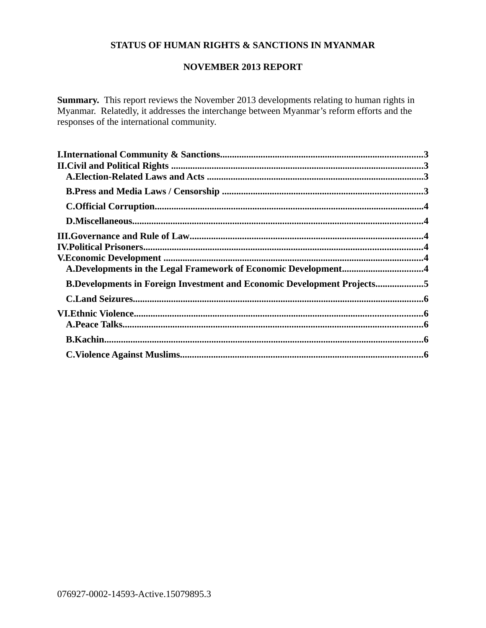# **STATUS OF HUMAN RIGHTS & SANCTIONS IN MYANMAR**

## **NOVEMBER 2013 REPORT**

Summary. This report reviews the November 2013 developments relating to human rights in Myanmar. Relatedly, it addresses the interchange between Myanmar's reform efforts and the responses of the international community.

| A.Developments in the Legal Framework of Economic Development4                 |  |
|--------------------------------------------------------------------------------|--|
| <b>B.Developments in Foreign Investment and Economic Development Projects5</b> |  |
|                                                                                |  |
|                                                                                |  |
|                                                                                |  |
|                                                                                |  |
|                                                                                |  |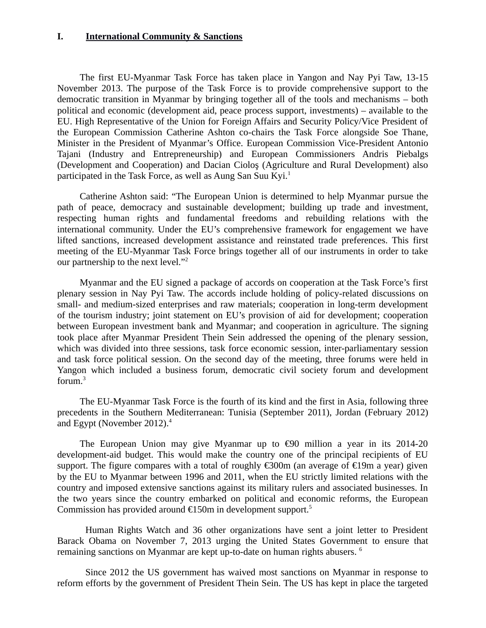### <span id="page-2-0"></span>**I. International Community & Sanctions**

The first EU-Myanmar Task Force has taken place in Yangon and Nay Pyi Taw, 13-15 November 2013. The purpose of the Task Force is to provide comprehensive support to the democratic transition in Myanmar by bringing together all of the tools and mechanisms – both political and economic (development aid, peace process support, investments) – available to the EU. High Representative of the Union for Foreign Affairs and Security Policy/Vice President of the European Commission Catherine Ashton co-chairs the Task Force alongside Soe Thane, Minister in the President of Myanmar's Office. European Commission Vice-President Antonio Tajani (Industry and Entrepreneurship) and European Commissioners Andris Piebalgs (Development and Cooperation) and Dacian Cioloş (Agriculture and Rural Development) also participated in the Task Force, as well as Aung San Suu Kyi.<sup>1</sup>

Catherine Ashton said: "The European Union is determined to help Myanmar pursue the path of peace, democracy and sustainable development; building up trade and investment, respecting human rights and fundamental freedoms and rebuilding relations with the international community. Under the EU's comprehensive framework for engagement we have lifted sanctions, increased development assistance and reinstated trade preferences. This first meeting of the EU-Myanmar Task Force brings together all of our instruments in order to take our partnership to the next level."<sup>2</sup>

Myanmar and the EU signed a package of accords on cooperation at the Task Force's first plenary session in Nay Pyi Taw. The accords include holding of policy-related discussions on small- and medium-sized enterprises and raw materials; cooperation in long-term development of the tourism industry; joint statement on EU's provision of aid for development; cooperation between European investment bank and Myanmar; and cooperation in agriculture. The signing took place after Myanmar President Thein Sein addressed the opening of the plenary session, which was divided into three sessions, task force economic session, inter-parliamentary session and task force political session. On the second day of the meeting, three forums were held in Yangon which included a business forum, democratic civil society forum and development forum.<sup>3</sup>

The EU-Myanmar Task Force is the fourth of its kind and the first in Asia, following three precedents in the Southern Mediterranean: Tunisia (September 2011), Jordan (February 2012) and Egypt (November 2012).<sup>4</sup>

The European Union may give Myanmar up to €90 million a year in its 2014-20 development-aid budget. This would make the country one of the principal recipients of EU support. The figure compares with a total of roughly €300m (an average of €19m a year) given by the EU to Myanmar between 1996 and 2011, when the EU strictly limited relations with the country and imposed extensive sanctions against its military rulers and associated businesses. In the two years since the country embarked on political and economic reforms, the European Commission has provided around  $E150m$  in development support.<sup>5</sup>

Human Rights Watch and 36 other organizations have sent a joint letter to President Barack Obama on November 7, 2013 urging the United States Government to ensure that remaining sanctions on Myanmar are kept up-to-date on human rights abusers. <sup>6</sup>

Since 2012 the US government has waived most sanctions on Myanmar in response to reform efforts by the government of President Thein Sein. The US has kept in place the targeted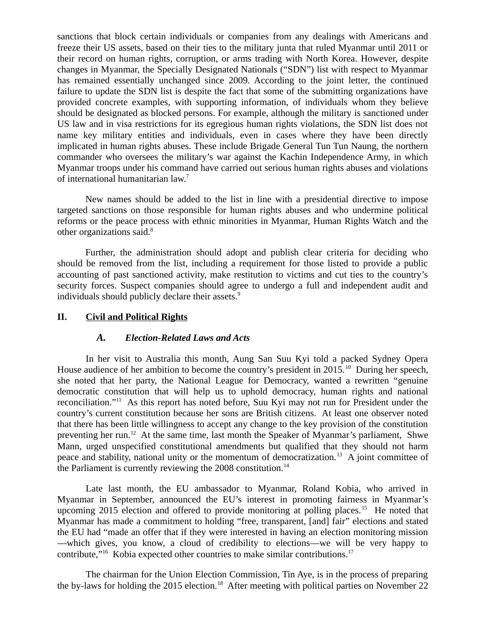sanctions that block certain individuals or companies from any dealings with Americans and freeze their US assets, based on their ties to the military junta that ruled Myanmar until 2011 or their record on human rights, corruption, or arms trading with North Korea. However, despite changes in Myanmar, the Specially Designated Nationals ("SDN") list with respect to Myanmar has remained essentially unchanged since 2009. According to the joint letter, the continued failure to update the SDN list is despite the fact that some of the submitting organizations have provided concrete examples, with supporting information, of individuals whom they believe should be designated as blocked persons. For example, although the military is sanctioned under US law and in visa restrictions for its egregious human rights violations, the SDN list does not name key military entities and individuals, even in cases where they have been directly implicated in human rights abuses. These include Brigade General Tun Tun Naung, the northern commander who oversees the military's war against the Kachin Independence Army, in which Myanmar troops under his command have carried out serious human rights abuses and violations of international humanitarian law.<sup>7</sup>

New names should be added to the list in line with a presidential directive to impose targeted sanctions on those responsible for human rights abuses and who undermine political reforms or the peace process with ethnic minorities in Myanmar, Human Rights Watch and the other organizations said.<sup>8</sup>

Further, the administration should adopt and publish clear criteria for deciding who should be removed from the list, including a requirement for those listed to provide a public accounting of past sanctioned activity, make restitution to victims and cut ties to the country's security forces. Suspect companies should agree to undergo a full and independent audit and individuals should publicly declare their assets. $9$ 

### **II. Civil and Political Rights**

### <span id="page-3-1"></span><span id="page-3-0"></span>*A. Election-Related Laws and Acts*

In her visit to Australia this month, Aung San Suu Kyi told a packed Sydney Opera House audience of her ambition to become the country's president in 2015.<sup>10</sup> During her speech, she noted that her party, the National League for Democracy, wanted a rewritten "genuine democratic constitution that will help us to uphold democracy, human rights and national reconciliation."<sup>11</sup> As this report has noted before, Suu Kyi may not run for President under the country's current constitution because her sons are British citizens. At least one observer noted that there has been little willingness to accept any change to the key provision of the constitution preventing her run.<sup>12</sup> At the same time, last month the Speaker of Myanmar's parliament, Shwe Mann, urged unspecified constitutional amendments but qualified that they should not harm peace and stability, national unity or the momentum of democratization.<sup>13</sup> A joint committee of the Parliament is currently reviewing the 2008 constitution.<sup>14</sup>

Late last month, the EU ambassador to Myanmar, Roland Kobia, who arrived in Myanmar in September, announced the EU's interest in promoting fairness in Myanmar's upcoming 2015 election and offered to provide monitoring at polling places.<sup>15</sup> He noted that Myanmar has made a commitment to holding "free, transparent, [and] fair" elections and stated the EU had "made an offer that if they were interested in having an election monitoring mission —which gives, you know, a cloud of credibility to elections—we will be very happy to contribute,"<sup>16</sup> Kobia expected other countries to make similar contributions.<sup>17</sup>

The chairman for the Union Election Commission, Tin Aye, is in the process of preparing the by-laws for holding the 2015 election.<sup>18</sup> After meeting with political parties on November 22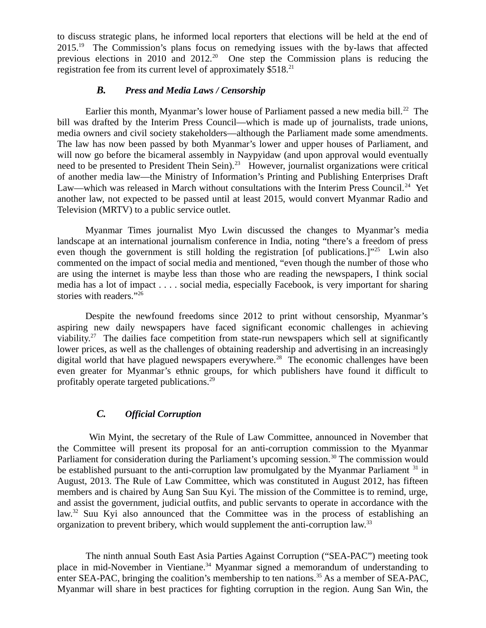to discuss strategic plans, he informed local reporters that elections will be held at the end of 2015.<sup>19</sup> The Commission's plans focus on remedying issues with the by-laws that affected previous elections in 2010 and 2012.<sup>20</sup> One step the Commission plans is reducing the registration fee from its current level of approximately \$518.<sup>21</sup>

### <span id="page-4-1"></span>*B. Press and Media Laws / Censorship*

Earlier this month, Myanmar's lower house of Parliament passed a new media bill.<sup>22</sup> The bill was drafted by the Interim Press Council—which is made up of journalists, trade unions, media owners and civil society stakeholders—although the Parliament made some amendments. The law has now been passed by both Myanmar's lower and upper houses of Parliament, and will now go before the bicameral assembly in Naypyidaw (and upon approval would eventually need to be presented to President Thein Sein).<sup>23</sup> However, journalist organizations were critical of another media law—the Ministry of Information's Printing and Publishing Enterprises Draft Law—which was released in March without consultations with the Interim Press Council.<sup>24</sup> Yet another law, not expected to be passed until at least 2015, would convert Myanmar Radio and Television (MRTV) to a public service outlet.

Myanmar Times journalist Myo Lwin discussed the changes to Myanmar's media landscape at an international journalism conference in India, noting "there's a freedom of press even though the government is still holding the registration [of publications.]"<sup>25</sup> Lwin also commented on the impact of social media and mentioned, "even though the number of those who are using the internet is maybe less than those who are reading the newspapers, I think social media has a lot of impact . . . . social media, especially Facebook, is very important for sharing stories with readers."<sup>26</sup>

Despite the newfound freedoms since 2012 to print without censorship, Myanmar's aspiring new daily newspapers have faced significant economic challenges in achieving viability.<sup>27</sup> The dailies face competition from state-run newspapers which sell at significantly lower prices, as well as the challenges of obtaining readership and advertising in an increasingly digital world that have plagued newspapers everywhere.<sup>28</sup> The economic challenges have been even greater for Myanmar's ethnic groups, for which publishers have found it difficult to profitably operate targeted publications.<sup>29</sup>

# <span id="page-4-0"></span>*C. Official Corruption*

Win Myint, the secretary of the Rule of Law Committee, announced in November that the Committee will present its proposal for an anti-corruption commission to the Myanmar Parliament for consideration during the Parliament's upcoming session.<sup>30</sup> The commission would be established pursuant to the anti-corruption law promulgated by the Myanmar Parliament  $31$  in August, 2013. The Rule of Law Committee, which was constituted in August 2012, has fifteen members and is chaired by Aung San Suu Kyi. The mission of the Committee is to remind, urge, and assist the government, judicial outfits, and public servants to operate in accordance with the law. $32$  Suu Kyi also announced that the Committee was in the process of establishing an organization to prevent bribery, which would supplement the anti-corruption law.<sup>33</sup>

The ninth annual South East Asia Parties Against Corruption ("SEA-PAC") meeting took place in mid-November in Vientiane. $34$  Myanmar signed a memorandum of understanding to enter SEA-PAC, bringing the coalition's membership to ten nations.<sup>35</sup> As a member of SEA-PAC, Myanmar will share in best practices for fighting corruption in the region. Aung San Win, the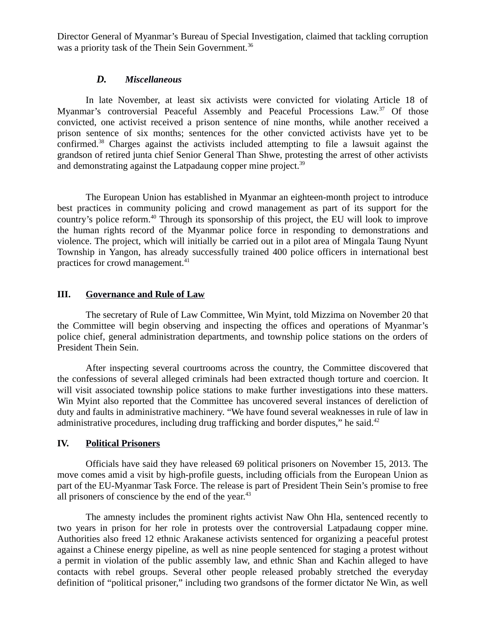Director General of Myanmar's Bureau of Special Investigation, claimed that tackling corruption was a priority task of the Thein Sein Government.<sup>36</sup>

#### <span id="page-5-2"></span>*D. Miscellaneous*

In late November, at least six activists were convicted for violating Article 18 of Myanmar's controversial Peaceful Assembly and Peaceful Processions Law.<sup>37</sup> Of those convicted, one activist received a prison sentence of nine months, while another received a prison sentence of six months; sentences for the other convicted activists have yet to be confirmed.<sup>38</sup> Charges against the activists included attempting to file a lawsuit against the grandson of retired junta chief Senior General Than Shwe, protesting the arrest of other activists and demonstrating against the Latpadaung copper mine project. $39$ 

The European Union has established in Myanmar an eighteen-month project to introduce best practices in community policing and crowd management as part of its support for the country's police reform.<sup>40</sup> Through its sponsorship of this project, the EU will look to improve the human rights record of the Myanmar police force in responding to demonstrations and violence. The project, which will initially be carried out in a pilot area of Mingala Taung Nyunt Township in Yangon, has already successfully trained 400 police officers in international best practices for crowd management.<sup>41</sup>

### <span id="page-5-1"></span>**III. Governance and Rule of Law**

The secretary of Rule of Law Committee, Win Myint, told Mizzima on November 20 that the Committee will begin observing and inspecting the offices and operations of Myanmar's police chief, general administration departments, and township police stations on the orders of President Thein Sein.

After inspecting several courtrooms across the country, the Committee discovered that the confessions of several alleged criminals had been extracted though torture and coercion. It will visit associated township police stations to make further investigations into these matters. Win Myint also reported that the Committee has uncovered several instances of dereliction of duty and faults in administrative machinery. "We have found several weaknesses in rule of law in administrative procedures, including drug trafficking and border disputes," he said. $42$ 

### <span id="page-5-0"></span>**IV. Political Prisoners**

Officials have said they have released 69 political prisoners on November 15, 2013. The move comes amid a visit by high-profile guests, including officials from the European Union as part of the EU-Myanmar Task Force. The release is part of President Thein Sein's promise to free all prisoners of conscience by the end of the year.<sup>43</sup>

The amnesty includes the prominent rights activist Naw Ohn Hla, sentenced recently to two years in prison for her role in protests over the controversial Latpadaung copper mine. Authorities also freed 12 ethnic Arakanese activists sentenced for organizing a peaceful protest against a Chinese energy pipeline, as well as nine people sentenced for staging a protest without a permit in violation of the public assembly law, and ethnic Shan and Kachin alleged to have contacts with rebel groups. Several other people released probably stretched the everyday definition of "political prisoner," including two grandsons of the former dictator Ne Win, as well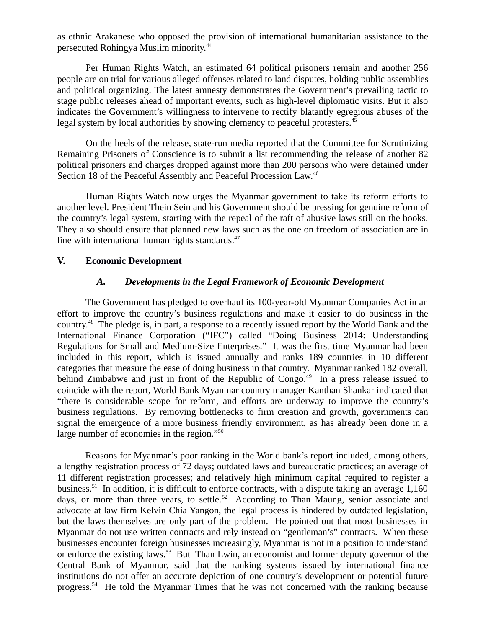as ethnic Arakanese who opposed the provision of international humanitarian assistance to the persecuted Rohingya Muslim minority.<sup>44</sup>

Per Human Rights Watch, an estimated 64 political prisoners remain and another 256 people are on trial for various alleged offenses related to land disputes, holding public assemblies and political organizing. The latest amnesty demonstrates the Government's prevailing tactic to stage public releases ahead of important events, such as high-level diplomatic visits. But it also indicates the Government's willingness to intervene to rectify blatantly egregious abuses of the legal system by local authorities by showing clemency to peaceful protesters.<sup>45</sup>

On the heels of the release, state-run media reported that the Committee for Scrutinizing Remaining Prisoners of Conscience is to submit a list recommending the release of another 82 political prisoners and charges dropped against more than 200 persons who were detained under Section 18 of the Peaceful Assembly and Peaceful Procession Law.<sup>46</sup>

Human Rights Watch now urges the Myanmar government to take its reform efforts to another level. President Thein Sein and his Government should be pressing for genuine reform of the country's legal system, starting with the repeal of the raft of abusive laws still on the books. They also should ensure that planned new laws such as the one on freedom of association are in line with international human rights standards.<sup>47</sup>

### **V. Economic Development**

### <span id="page-6-1"></span><span id="page-6-0"></span>*A. Developments in the Legal Framework of Economic Development*

The Government has pledged to overhaul its 100-year-old Myanmar Companies Act in an effort to improve the country's business regulations and make it easier to do business in the country.<sup>48</sup> The pledge is, in part, a response to a recently issued report by the World Bank and the International Finance Corporation ("IFC") called "Doing Business 2014: Understanding Regulations for Small and Medium-Size Enterprises." It was the first time Myanmar had been included in this report, which is issued annually and ranks 189 countries in 10 different categories that measure the ease of doing business in that country. Myanmar ranked 182 overall, behind Zimbabwe and just in front of the Republic of Congo.<sup>49</sup> In a press release issued to coincide with the report, World Bank Myanmar country manager Kanthan Shankar indicated that "there is considerable scope for reform, and efforts are underway to improve the country's business regulations. By removing bottlenecks to firm creation and growth, governments can signal the emergence of a more business friendly environment, as has already been done in a large number of economies in the region."<sup>50</sup>

Reasons for Myanmar's poor ranking in the World bank's report included, among others, a lengthy registration process of 72 days; outdated laws and bureaucratic practices; an average of 11 different registration processes; and relatively high minimum capital required to register a business.<sup>51</sup> In addition, it is difficult to enforce contracts, with a dispute taking an average 1,160 days, or more than three years, to settle.<sup>52</sup> According to Than Maung, senior associate and advocate at law firm Kelvin Chia Yangon, the legal process is hindered by outdated legislation, but the laws themselves are only part of the problem. He pointed out that most businesses in Myanmar do not use written contracts and rely instead on "gentleman's" contracts. When these businesses encounter foreign businesses increasingly, Myanmar is not in a position to understand or enforce the existing laws.<sup>53</sup> But Than Lwin, an economist and former deputy governor of the Central Bank of Myanmar, said that the ranking systems issued by international finance institutions do not offer an accurate depiction of one country's development or potential future progress.<sup>54</sup> He told the Myanmar Times that he was not concerned with the ranking because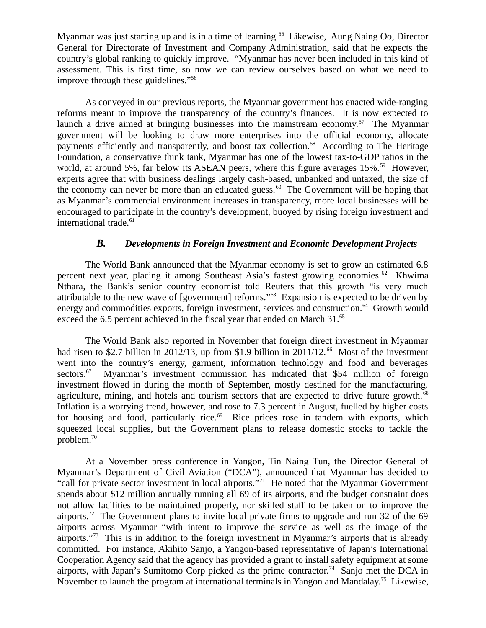Myanmar was just starting up and is in a time of learning.<sup>55</sup> Likewise, Aung Naing Oo, Director General for Directorate of Investment and Company Administration, said that he expects the country's global ranking to quickly improve. "Myanmar has never been included in this kind of assessment. This is first time, so now we can review ourselves based on what we need to improve through these guidelines."<sup>56</sup>

As conveyed in our previous reports, the Myanmar government has enacted wide-ranging reforms meant to improve the transparency of the country's finances. It is now expected to launch a drive aimed at bringing businesses into the mainstream economy.<sup>57</sup> The Myanmar government will be looking to draw more enterprises into the official economy, allocate payments efficiently and transparently, and boost tax collection.<sup>58</sup> According to The Heritage Foundation, a conservative think tank, Myanmar has one of the lowest tax-to-GDP ratios in the world, at around 5%, far below its ASEAN peers, where this figure averages 15%.<sup>59</sup> However, experts agree that with business dealings largely cash-based, unbanked and untaxed, the size of the economy can never be more than an educated guess.<sup>60</sup> The Government will be hoping that as Myanmar's commercial environment increases in transparency, more local businesses will be encouraged to participate in the country's development, buoyed by rising foreign investment and international trade.<sup>61</sup>

## <span id="page-7-0"></span>*B. Developments in Foreign Investment and Economic Development Projects*

The World Bank announced that the Myanmar economy is set to grow an estimated 6.8 percent next year, placing it among Southeast Asia's fastest growing economies.<sup>62</sup> Khwima Nthara, the Bank's senior country economist told Reuters that this growth "is very much attributable to the new wave of [government] reforms."<sup>63</sup> Expansion is expected to be driven by energy and commodities exports, foreign investment, services and construction.<sup>64</sup> Growth would exceed the 6.5 percent achieved in the fiscal year that ended on March  $31.^{65}$ 

The World Bank also reported in November that foreign direct investment in Myanmar had risen to \$2.7 billion in 2012/13, up from \$1.9 billion in 2011/12.<sup>66</sup> Most of the investment went into the country's energy, garment, information technology and food and beverages sectors.<sup>67</sup> Myanmar's investment commission has indicated that \$54 million of foreign investment flowed in during the month of September, mostly destined for the manufacturing, agriculture, mining, and hotels and tourism sectors that are expected to drive future growth.<sup>68</sup> Inflation is a worrying trend, however, and rose to 7.3 percent in August, fuelled by higher costs for housing and food, particularly rice. $69$  Rice prices rose in tandem with exports, which squeezed local supplies, but the Government plans to release domestic stocks to tackle the problem. $^{70}$ 

At a November press conference in Yangon, Tin Naing Tun, the Director General of Myanmar's Department of Civil Aviation ("DCA"), announced that Myanmar has decided to "call for private sector investment in local airports."<sup>71</sup> He noted that the Myanmar Government spends about \$12 million annually running all 69 of its airports, and the budget constraint does not allow facilities to be maintained properly, nor skilled staff to be taken on to improve the airports.<sup>72</sup> The Government plans to invite local private firms to upgrade and run 32 of the 69 airports across Myanmar "with intent to improve the service as well as the image of the airports."<sup>73</sup> This is in addition to the foreign investment in Myanmar's airports that is already committed. For instance, Akihito Sanjo, a Yangon-based representative of Japan's International Cooperation Agency said that the agency has provided a grant to install safety equipment at some airports, with Japan's Sumitomo Corp picked as the prime contractor.<sup>74</sup> Sanjo met the DCA in November to launch the program at international terminals in Yangon and Mandalay.<sup>75</sup> Likewise,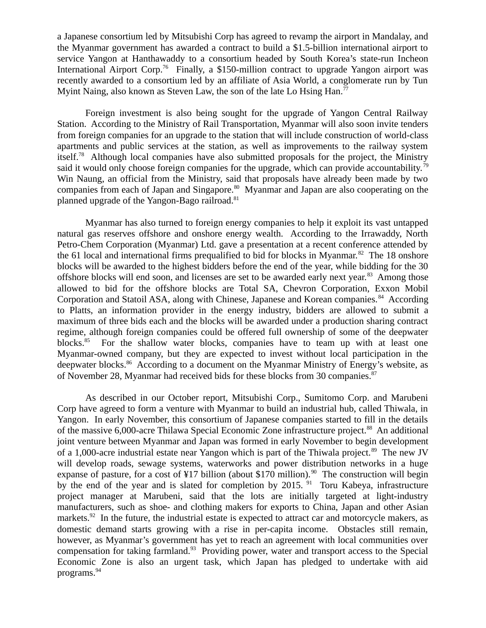a Japanese consortium led by Mitsubishi Corp has agreed to revamp the airport in Mandalay, and the Myanmar government has awarded a contract to build a \$1.5-billion international airport to service Yangon at Hanthawaddy to a consortium headed by South Korea's state-run Incheon International Airport Corp.<sup>76</sup> Finally, a \$150-million contract to upgrade Yangon airport was recently awarded to a consortium led by an affiliate of Asia World, a conglomerate run by Tun Myint Naing, also known as Steven Law, the son of the late Lo Hsing Han.<sup>77</sup>

Foreign investment is also being sought for the upgrade of Yangon Central Railway Station. According to the Ministry of Rail Transportation, Myanmar will also soon invite tenders from foreign companies for an upgrade to the station that will include construction of world-class apartments and public services at the station, as well as improvements to the railway system itself.<sup>78</sup> Although local companies have also submitted proposals for the project, the Ministry said it would only choose foreign companies for the upgrade, which can provide accountability.<sup>79</sup> Win Naung, an official from the Ministry, said that proposals have already been made by two companies from each of Japan and Singapore.<sup>80</sup> Myanmar and Japan are also cooperating on the planned upgrade of the Yangon-Bago railroad.<sup>81</sup>

Myanmar has also turned to foreign energy companies to help it exploit its vast untapped natural gas reserves offshore and onshore energy wealth. According to the Irrawaddy, North Petro-Chem Corporation (Myanmar) Ltd. gave a presentation at a recent conference attended by the 61 local and international firms prequalified to bid for blocks in Myanmar. $82$  The 18 onshore blocks will be awarded to the highest bidders before the end of the year, while bidding for the 30 offshore blocks will end soon, and licenses are set to be awarded early next year.<sup>83</sup> Among those allowed to bid for the offshore blocks are Total SA, Chevron Corporation, Exxon Mobil Corporation and Statoil ASA, along with Chinese, Japanese and Korean companies.<sup>84</sup> According to Platts, an information provider in the energy industry, bidders are allowed to submit a maximum of three bids each and the blocks will be awarded under a production sharing contract regime, although foreign companies could be offered full ownership of some of the deepwater blocks. $85$  For the shallow water blocks, companies have to team up with at least one Myanmar-owned company, but they are expected to invest without local participation in the deepwater blocks.<sup>86</sup> According to a document on the Myanmar Ministry of Energy's website, as of November 28, Myanmar had received bids for these blocks from 30 companies.<sup>87</sup>

As described in our October report, Mitsubishi Corp., Sumitomo Corp. and Marubeni Corp have agreed to form a venture with Myanmar to build an industrial hub, called Thiwala, in Yangon. In early November, this consortium of Japanese companies started to fill in the details of the massive 6,000-acre Thilawa Special Economic Zone infrastructure project.<sup>88</sup> An additional joint venture between Myanmar and Japan was formed in early November to begin development of a 1,000-acre industrial estate near Yangon which is part of the Thiwala project.<sup>89</sup> The new JV will develop roads, sewage systems, waterworks and power distribution networks in a huge expanse of pasture, for a cost of  $\frac{1}{4}$  billion (about \$170 million).<sup>90</sup> The construction will begin by the end of the year and is slated for completion by 2015.  $91$  Toru Kabeya, infrastructure project manager at Marubeni, said that the lots are initially targeted at light-industry manufacturers, such as shoe- and clothing makers for exports to China, Japan and other Asian markets. $92$  In the future, the industrial estate is expected to attract car and motorcycle makers, as domestic demand starts growing with a rise in per-capita income. Obstacles still remain, however, as Myanmar's government has yet to reach an agreement with local communities over compensation for taking farmland.<sup>93</sup> Providing power, water and transport access to the Special Economic Zone is also an urgent task, which Japan has pledged to undertake with aid programs.<sup>94</sup>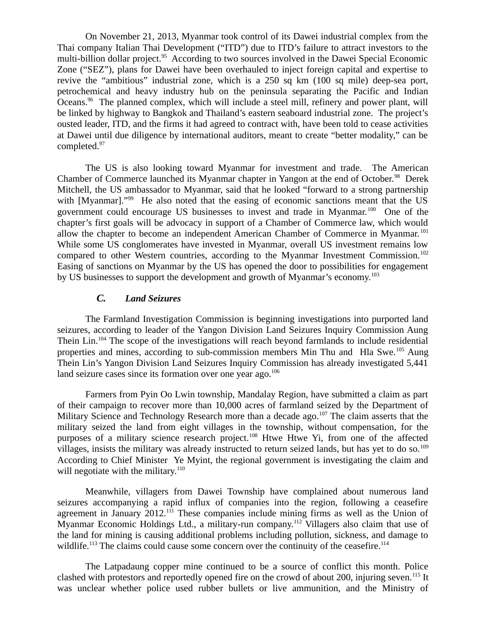On November 21, 2013, Myanmar took control of its Dawei industrial complex from the Thai company Italian Thai Development ("ITD") due to ITD's failure to attract investors to the multi-billion dollar project.<sup>95</sup> According to two sources involved in the Dawei Special Economic Zone ("SEZ"), plans for Dawei have been overhauled to inject foreign capital and expertise to revive the "ambitious" industrial zone, which is a 250 sq km (100 sq mile) deep-sea port, petrochemical and heavy industry hub on the peninsula separating the Pacific and Indian Oceans.<sup>96</sup> The planned complex, which will include a steel mill, refinery and power plant, will be linked by highway to Bangkok and Thailand's eastern seaboard industrial zone. The project's ousted leader, ITD, and the firms it had agreed to contract with, have been told to cease activities at Dawei until due diligence by international auditors, meant to create "better modality," can be completed.<sup>97</sup>

The US is also looking toward Myanmar for investment and trade. The American Chamber of Commerce launched its Myanmar chapter in Yangon at the end of October.<sup>98</sup> Derek Mitchell, the US ambassador to Myanmar, said that he looked "forward to a strong partnership with [Myanmar]."<sup>99</sup> He also noted that the easing of economic sanctions meant that the US government could encourage US businesses to invest and trade in Myanmar.<sup>100</sup> One of the chapter's first goals will be advocacy in support of a Chamber of Commerce law, which would allow the chapter to become an independent American Chamber of Commerce in Myanmar. <sup>101</sup> While some US conglomerates have invested in Myanmar, overall US investment remains low compared to other Western countries, according to the Myanmar Investment Commission.<sup>102</sup> Easing of sanctions on Myanmar by the US has opened the door to possibilities for engagement by US businesses to support the development and growth of Myanmar's economy.<sup>103</sup>

### <span id="page-9-0"></span>*C. Land Seizures*

The Farmland Investigation Commission is beginning investigations into purported land seizures, according to leader of the Yangon Division Land Seizures Inquiry Commission Aung Thein Lin.<sup>104</sup> The scope of the investigations will reach beyond farmlands to include residential properties and mines, according to sub-commission members Min Thu and Hla Swe.<sup>105</sup> Aung Thein Lin's Yangon Division Land Seizures Inquiry Commission has already investigated 5,441 land seizure cases since its formation over one year  $a\text{g}o$ .<sup>106</sup>

Farmers from Pyin Oo Lwin township, Mandalay Region, have submitted a claim as part of their campaign to recover more than 10,000 acres of farmland seized by the Department of Military Science and Technology Research more than a decade ago.<sup>107</sup> The claim asserts that the military seized the land from eight villages in the township, without compensation, for the purposes of a military science research project.<sup>108</sup> Htwe Htwe Yi, from one of the affected villages, insists the military was already instructed to return seized lands, but has yet to do so.<sup>109</sup> According to Chief Minister Ye Myint, the regional government is investigating the claim and will negotiate with the military. $110$ 

Meanwhile, villagers from Dawei Township have complained about numerous land seizures accompanying a rapid influx of companies into the region, following a ceasefire agreement in January  $2012$ <sup>111</sup> These companies include mining firms as well as the Union of Myanmar Economic Holdings Ltd., a military-run company.<sup>112</sup> Villagers also claim that use of the land for mining is causing additional problems including pollution, sickness, and damage to wildlife.<sup>113</sup> The claims could cause some concern over the continuity of the ceasefire.<sup>114</sup>

The Latpadaung copper mine continued to be a source of conflict this month. Police clashed with protestors and reportedly opened fire on the crowd of about 200, injuring seven.<sup>115</sup> It was unclear whether police used rubber bullets or live ammunition, and the Ministry of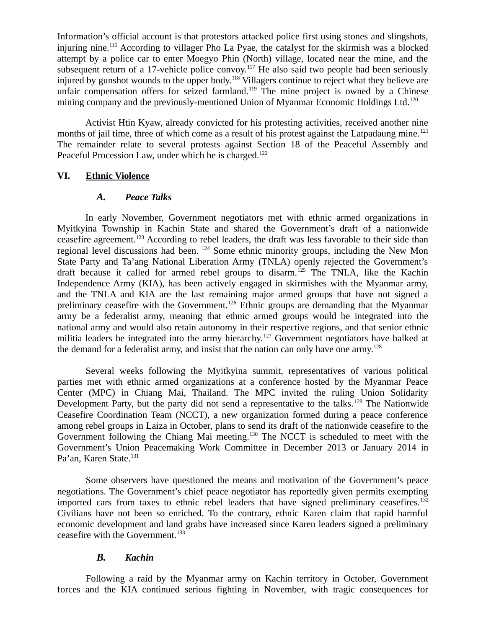Information's official account is that protestors attacked police first using stones and slingshots, injuring nine.<sup>116</sup> According to villager Pho La Pyae, the catalyst for the skirmish was a blocked attempt by a police car to enter Moegyo Phin (North) village, located near the mine, and the subsequent return of a 17-vehicle police convoy.<sup>117</sup> He also said two people had been seriously injured by gunshot wounds to the upper body.<sup>118</sup> Villagers continue to reject what they believe are unfair compensation offers for seized farmland.<sup>119</sup> The mine project is owned by a Chinese mining company and the previously-mentioned Union of Myanmar Economic Holdings Ltd.<sup>120</sup>

Activist Htin Kyaw, already convicted for his protesting activities, received another nine months of jail time, three of which come as a result of his protest against the Latpadaung mine.<sup>121</sup> The remainder relate to several protests against Section 18 of the Peaceful Assembly and Peaceful Procession Law, under which he is charged.<sup>122</sup>

### **VI. Ethnic Violence**

### <span id="page-10-2"></span><span id="page-10-1"></span>*A. Peace Talks*

In early November, Government negotiators met with ethnic armed organizations in Myitkyina Township in Kachin State and shared the Government's draft of a nationwide ceasefire agreement.<sup>123</sup> According to rebel leaders, the draft was less favorable to their side than regional level discussions had been. <sup>124</sup> Some ethnic minority groups, including the New Mon State Party and Ta'ang National Liberation Army (TNLA) openly rejected the Government's draft because it called for armed rebel groups to disarm.<sup>125</sup> The TNLA, like the Kachin Independence Army (KIA), has been actively engaged in skirmishes with the Myanmar army, and the TNLA and KIA are the last remaining major armed groups that have not signed a preliminary ceasefire with the Government.<sup>126</sup> Ethnic groups are demanding that the Myanmar army be a federalist army, meaning that ethnic armed groups would be integrated into the national army and would also retain autonomy in their respective regions, and that senior ethnic militia leaders be integrated into the army hierarchy.<sup>127</sup> Government negotiators have balked at the demand for a federalist army, and insist that the nation can only have one army.<sup>128</sup>

Several weeks following the Myitkyina summit, representatives of various political parties met with ethnic armed organizations at a conference hosted by the Myanmar Peace Center (MPC) in Chiang Mai, Thailand. The MPC invited the ruling Union Solidarity Development Party, but the party did not send a representative to the talks.<sup>129</sup> The Nationwide Ceasefire Coordination Team (NCCT), a new organization formed during a peace conference among rebel groups in Laiza in October, plans to send its draft of the nationwide ceasefire to the Government following the Chiang Mai meeting.<sup>130</sup> The NCCT is scheduled to meet with the Government's Union Peacemaking Work Committee in December 2013 or January 2014 in Pa'an, Karen State.<sup>131</sup>

Some observers have questioned the means and motivation of the Government's peace negotiations. The Government's chief peace negotiator has reportedly given permits exempting imported cars from taxes to ethnic rebel leaders that have signed preliminary ceasefires.<sup>132</sup> Civilians have not been so enriched. To the contrary, ethnic Karen claim that rapid harmful economic development and land grabs have increased since Karen leaders signed a preliminary ceasefire with the Government.<sup>133</sup>

### <span id="page-10-0"></span>*B. Kachin*

Following a raid by the Myanmar army on Kachin territory in October, Government forces and the KIA continued serious fighting in November, with tragic consequences for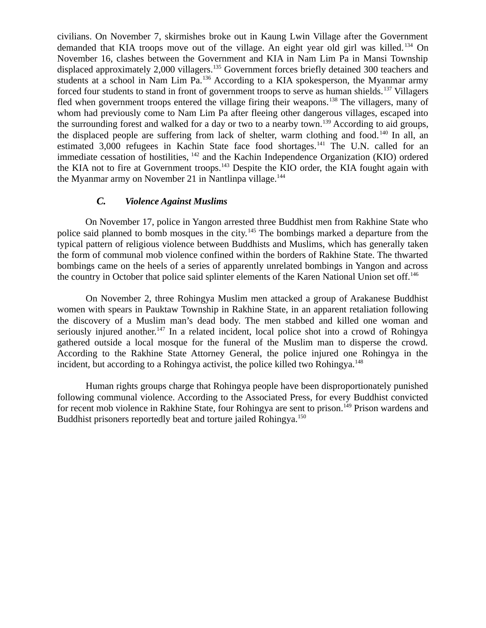civilians. On November 7, skirmishes broke out in Kaung Lwin Village after the Government demanded that KIA troops move out of the village. An eight year old girl was killed.<sup>134</sup> On November 16, clashes between the Government and KIA in Nam Lim Pa in Mansi Township displaced approximately 2,000 villagers.<sup>135</sup> Government forces briefly detained 300 teachers and students at a school in Nam Lim Pa.<sup>136</sup> According to a KIA spokesperson, the Myanmar army forced four students to stand in front of government troops to serve as human shields.<sup>137</sup> Villagers fled when government troops entered the village firing their weapons.<sup>138</sup> The villagers, many of whom had previously come to Nam Lim Pa after fleeing other dangerous villages, escaped into the surrounding forest and walked for a day or two to a nearby town.<sup>139</sup> According to aid groups, the displaced people are suffering from lack of shelter, warm clothing and food.<sup>140</sup> In all, an estimated 3,000 refugees in Kachin State face food shortages.<sup>141</sup> The U.N. called for an immediate cessation of hostilities, <sup>142</sup> and the Kachin Independence Organization (KIO) ordered the KIA not to fire at Government troops.<sup>143</sup> Despite the KIO order, the KIA fought again with the Myanmar army on November 21 in Nantlinpa village.<sup>144</sup>

### <span id="page-11-0"></span>*C. Violence Against Muslims*

On November 17, police in Yangon arrested three Buddhist men from Rakhine State who police said planned to bomb mosques in the city.<sup>145</sup> The bombings marked a departure from the typical pattern of religious violence between Buddhists and Muslims, which has generally taken the form of communal mob violence confined within the borders of Rakhine State. The thwarted bombings came on the heels of a series of apparently unrelated bombings in Yangon and across the country in October that police said splinter elements of the Karen National Union set off.<sup>146</sup>

On November 2, three Rohingya Muslim men attacked a group of Arakanese Buddhist women with spears in Pauktaw Township in Rakhine State, in an apparent retaliation following the discovery of a Muslim man's dead body. The men stabbed and killed one woman and seriously injured another.<sup>147</sup> In a related incident, local police shot into a crowd of Rohingya gathered outside a local mosque for the funeral of the Muslim man to disperse the crowd. According to the Rakhine State Attorney General, the police injured one Rohingya in the incident, but according to a Rohingya activist, the police killed two Rohingya.<sup>148</sup>

Human rights groups charge that Rohingya people have been disproportionately punished following communal violence. According to the Associated Press, for every Buddhist convicted for recent mob violence in Rakhine State, four Rohingya are sent to prison.<sup>149</sup> Prison wardens and Buddhist prisoners reportedly beat and torture jailed Rohingya.<sup>150</sup>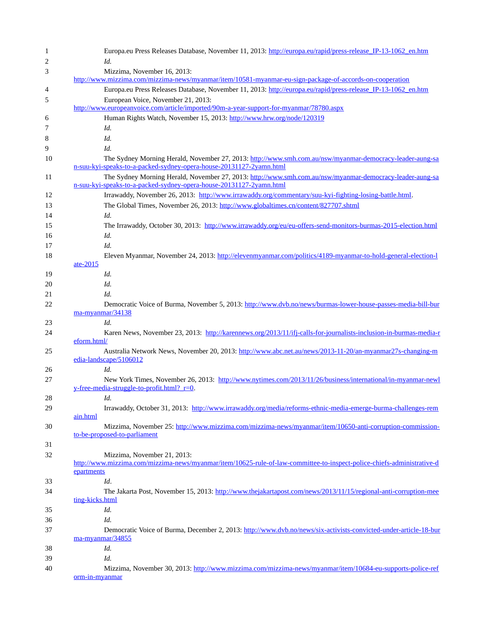|             | Europa.eu Press Releases Database, November 11, 2013: http://europa.eu/rapid/press-release IP-13-1062 en.htm                                                                    |
|-------------|---------------------------------------------------------------------------------------------------------------------------------------------------------------------------------|
|             | Id.                                                                                                                                                                             |
|             | Mizzima, November 16, 2013:                                                                                                                                                     |
|             | http://www.mizzima.com/mizzima-news/myanmar/item/10581-myanmar-eu-sign-package-of-accords-on-cooperation                                                                        |
|             | Europa.eu Press Releases Database, November 11, 2013: http://europa.eu/rapid/press-release IP-13-1062 en.htm                                                                    |
|             | European Voice, November 21, 2013:                                                                                                                                              |
|             | http://www.europeanvoice.com/article/imported/90m-a-year-support-for-myanmar/78780.aspx                                                                                         |
|             | Human Rights Watch, November 15, 2013: http://www.hrw.org/node/120319                                                                                                           |
|             | Id.                                                                                                                                                                             |
|             | Id.                                                                                                                                                                             |
|             | Id.                                                                                                                                                                             |
|             | The Sydney Morning Herald, November 27, 2013: http://www.smh.com.au/nsw/myanmar-democracy-leader-aung-sa                                                                        |
|             | n-suu-kyi-speaks-to-a-packed-sydney-opera-house-20131127-2yamn.html                                                                                                             |
|             | The Sydney Morning Herald, November 27, 2013: http://www.smh.com.au/nsw/myanmar-democracy-leader-aung-sa<br>n-suu-kyi-speaks-to-a-packed-sydney-opera-house-20131127-2yamn.html |
|             | Irrawaddy, November 26, 2013: http://www.irrawaddy.org/commentary/suu-kyi-fighting-losing-battle.html.                                                                          |
|             | The Global Times, November 26, 2013: http://www.globaltimes.cn/content/827707.shtml                                                                                             |
|             | Id.                                                                                                                                                                             |
|             | The Irrawaddy, October 30, 2013: http://www.irrawaddy.org/eu/eu-offers-send-monitors-burmas-2015-election.html                                                                  |
|             | Id.                                                                                                                                                                             |
|             | Id.                                                                                                                                                                             |
|             | Eleven Myanmar, November 24, 2013: http://elevenmyanmar.com/politics/4189-myanmar-to-hold-general-election-1                                                                    |
| ate-2015    |                                                                                                                                                                                 |
|             | Id.                                                                                                                                                                             |
|             | Id.                                                                                                                                                                             |
|             | Id.                                                                                                                                                                             |
|             | Democratic Voice of Burma, November 5, 2013: http://www.dvb.no/news/burmas-lower-house-passes-media-bill-bur                                                                    |
|             | ma-myanmar/34138                                                                                                                                                                |
|             | Id.                                                                                                                                                                             |
|             | Karen News, November 23, 2013: http://karennews.org/2013/11/ifj-calls-for-journalists-inclusion-in-burmas-media-r                                                               |
| eform.html/ |                                                                                                                                                                                 |
|             | Australia Network News, November 20, 2013: http://www.abc.net.au/news/2013-11-20/an-myanmar27s-changing-m                                                                       |
|             | edia-landscape/5106012                                                                                                                                                          |
|             | Id.                                                                                                                                                                             |
|             | New York Times, November 26, 2013: http://www.nytimes.com/2013/11/26/business/international/in-myanmar-newl<br>$y$ -free-media-struggle-to-profit.html? $r=0$ .                 |
|             | Id.                                                                                                                                                                             |
|             | Irrawaddy, October 31, 2013: http://www.irrawaddy.org/media/reforms-ethnic-media-emerge-burma-challenges-rem                                                                    |
| ain.html    |                                                                                                                                                                                 |
|             | Mizzima, November 25: http://www.mizzima.com/mizzima-news/myanmar/item/10650-anti-corruption-commission-                                                                        |
|             | to-be-proposed-to-parliament                                                                                                                                                    |
|             |                                                                                                                                                                                 |
|             | Mizzima, November 21, 2013:                                                                                                                                                     |
|             | http://www.mizzima.com/mizzima-news/myanmar/item/10625-rule-of-law-committee-to-inspect-police-chiefs-administrative-d                                                          |
| epartments  |                                                                                                                                                                                 |
|             | Id.                                                                                                                                                                             |
|             | The Jakarta Post, November 15, 2013: http://www.thejakartapost.com/news/2013/11/15/regional-anti-corruption-mee                                                                 |
|             | ting-kicks.html                                                                                                                                                                 |
|             | Id.                                                                                                                                                                             |
|             | Id.                                                                                                                                                                             |
|             | Democratic Voice of Burma, December 2, 2013: http://www.dvb.no/news/six-activists-convicted-under-article-18-bur                                                                |
|             | ma-myanmar/34855                                                                                                                                                                |
|             | Id.                                                                                                                                                                             |
|             | Id.                                                                                                                                                                             |
|             | Mizzima, November 30, 2013: http://www.mizzima.com/mizzima-news/myanmar/item/10684-eu-supports-police-ref                                                                       |
|             | orm-in-myanmar                                                                                                                                                                  |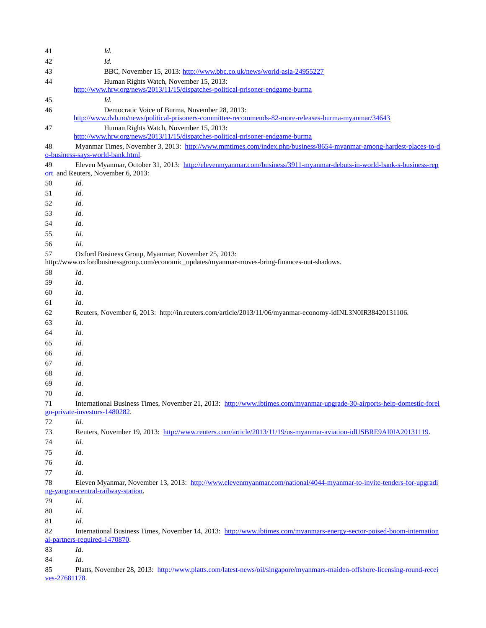| 41               | Id.                                                                                                                                                       |
|------------------|-----------------------------------------------------------------------------------------------------------------------------------------------------------|
| 42               | Id.                                                                                                                                                       |
| 43               | BBC, November 15, 2013: http://www.bbc.co.uk/news/world-asia-24955227                                                                                     |
| 44               | Human Rights Watch, November 15, 2013:                                                                                                                    |
|                  | http://www.hrw.org/news/2013/11/15/dispatches-political-prisoner-endgame-burma                                                                            |
| 45               | Id.                                                                                                                                                       |
| 46               | Democratic Voice of Burma, November 28, 2013:                                                                                                             |
|                  | http://www.dvb.no/news/political-prisoners-committee-recommends-82-more-releases-burma-myanmar/34643                                                      |
| 47               | Human Rights Watch, November 15, 2013:                                                                                                                    |
|                  | http://www.hrw.org/news/2013/11/15/dispatches-political-prisoner-endgame-burma                                                                            |
| 48               | Myanmar Times, November 3, 2013: http://www.mmtimes.com/index.php/business/8654-myanmar-among-hardest-places-to-d                                         |
|                  | o-business-says-world-bank.html.                                                                                                                          |
| 49<br><u>ort</u> | Eleven Myanmar, October 31, 2013: http://elevenmyanmar.com/business/3911-myanmar-debuts-in-world-bank-s-business-rep<br>and Reuters, November 6, 2013:    |
| 50               | Id.                                                                                                                                                       |
|                  | Id.                                                                                                                                                       |
| 51<br>52         | Id.                                                                                                                                                       |
|                  |                                                                                                                                                           |
| 53               | Id.                                                                                                                                                       |
| 54               | Id.                                                                                                                                                       |
| 55               | Id.                                                                                                                                                       |
| 56               | Id.                                                                                                                                                       |
| 57               | Oxford Business Group, Myanmar, November 25, 2013:<br>http://www.oxfordbusinessgroup.com/economic_updates/myanmar-moves-bring-finances-out-shadows.       |
|                  | Id.                                                                                                                                                       |
| 58<br>59         | Id.                                                                                                                                                       |
|                  |                                                                                                                                                           |
| 60               | Id.                                                                                                                                                       |
| 61               | Id.                                                                                                                                                       |
| 62               | Reuters, November 6, 2013: http://in.reuters.com/article/2013/11/06/myanmar-economy-idINL3N0IR38420131106.                                                |
| 63               | Id.                                                                                                                                                       |
| 64               | Id.                                                                                                                                                       |
| 65               | Id.                                                                                                                                                       |
| 66               | Id.                                                                                                                                                       |
| 67               | Id.                                                                                                                                                       |
| 68               | Id.                                                                                                                                                       |
| 69               | Id.                                                                                                                                                       |
| 70               | Id.                                                                                                                                                       |
| 71               | International Business Times, November 21, 2013: http://www.ibtimes.com/myanmar-upgrade-30-airports-help-domestic-forei                                   |
| $72\,$           | gn-private-investors-1480282.<br>Id.                                                                                                                      |
|                  | Reuters, November 19, 2013: http://www.reuters.com/article/2013/11/19/us-myanmar-aviation-idUSBRE9AI0IA20131119.                                          |
| 73               |                                                                                                                                                           |
| 74               | Id.                                                                                                                                                       |
| 75               | Id.                                                                                                                                                       |
| 76               | Id.                                                                                                                                                       |
| 77               | Id.                                                                                                                                                       |
| 78               | Eleven Myanmar, November 13, 2013: http://www.elevenmyanmar.com/national/4044-myanmar-to-invite-tenders-for-upgradi<br>ng-yangon-central-railway-station. |
| 79               | Id.                                                                                                                                                       |
| 80               | Id.                                                                                                                                                       |
| 81               | Id.                                                                                                                                                       |
| 82               | International Business Times, November 14, 2013: http://www.ibtimes.com/myanmars-energy-sector-poised-boom-internation                                    |
|                  | al-partners-required-1470870.                                                                                                                             |
| 83               | Id.                                                                                                                                                       |
| 84               | Id.                                                                                                                                                       |
| 85               | Platts, November 28, 2013: http://www.platts.com/latest-news/oil/singapore/myanmars-maiden-offshore-licensing-round-recei                                 |
| ves-27681178.    |                                                                                                                                                           |
|                  |                                                                                                                                                           |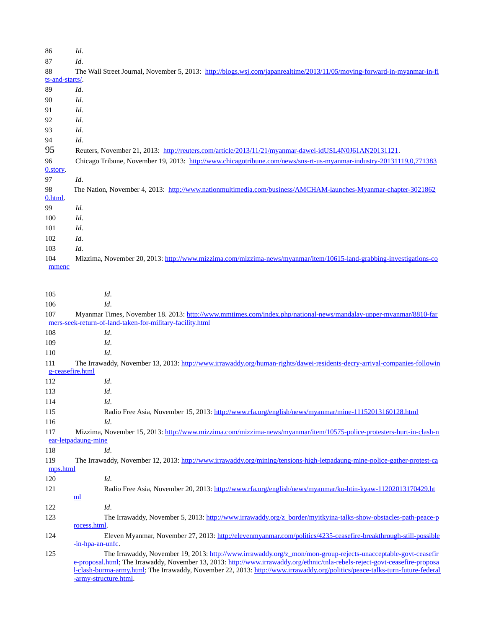| 86              | Id.                                                                                                                      |
|-----------------|--------------------------------------------------------------------------------------------------------------------------|
| 87              | Id.                                                                                                                      |
| 88              | The Wall Street Journal, November 5, 2013: http://blogs.wsj.com/japanrealtime/2013/11/05/moving-forward-in-myanmar-in-fi |
| ts-and-starts/. |                                                                                                                          |
| 89              | Id.                                                                                                                      |
| 90              | Id.                                                                                                                      |
| 91              | Id.                                                                                                                      |
| 92              | Id.                                                                                                                      |
| 93              | Id.                                                                                                                      |
| 94              | Id.                                                                                                                      |
| 95              | Reuters, November 21, 2013: http://reuters.com/article/2013/11/21/myanmar-dawei-idUSL4N0J61AN20131121.                   |
| 96              | Chicago Tribune, November 19, 2013: http://www.chicagotribune.com/news/sns-rt-us-myanmar-industry-20131119.0.771383      |
| 0.story.        |                                                                                                                          |
| 97              | Id.                                                                                                                      |
| 98              | The Nation, November 4, 2013: http://www.nationmultimedia.com/business/AMCHAM-launches-Myanmar-chapter-3021862           |
| 0.html.         |                                                                                                                          |
| 99              | Id.                                                                                                                      |
| 100             | Id.                                                                                                                      |
| 101             | Id.                                                                                                                      |
| 102             | Id.                                                                                                                      |
| 103             | Id.                                                                                                                      |
| 104             | Mizzima, November 20, 2013: http://www.mizzima.com/mizzima-news/myanmar/item/10615-land-grabbing-investigations-co       |
| mmenc           |                                                                                                                          |

| 105      | Id.                                                                                                                            |
|----------|--------------------------------------------------------------------------------------------------------------------------------|
| 106      | Id.                                                                                                                            |
| 107      | Myanmar Times, November 18. 2013: http://www.mmtimes.com/index.php/national-news/mandalay-upper-myanmar/8810-far               |
|          | mers-seek-return-of-land-taken-for-military-facility.html                                                                      |
| 108      | Id.                                                                                                                            |
| 109      | Id.                                                                                                                            |
| 110      | Id.                                                                                                                            |
| 111      | The Irrawaddy, November 13, 2013: http://www.irrawaddy.org/human-rights/dawei-residents-decry-arrival-companies-followin       |
|          | g-ceasefire.html                                                                                                               |
| 112      | Id.                                                                                                                            |
| 113      | Id.                                                                                                                            |
| 114      | Id.                                                                                                                            |
| 115      | Radio Free Asia, November 15, 2013: http://www.rfa.org/english/news/myanmar/mine-11152013160128.html                           |
| 116      | Id.                                                                                                                            |
| 117      | Mizzima, November 15, 2013: http://www.mizzima.com/mizzima-news/myanmar/item/10575-police-protesters-hurt-in-clash-n           |
|          | ear-letpadaung-mine                                                                                                            |
| 118      | Id.                                                                                                                            |
| 119      | The Irrawaddy, November 12, 2013: http://www.irrawaddy.org/mining/tensions-high-letpadaung-mine-police-gather-protest-ca       |
| mps.html |                                                                                                                                |
| 120      | Id.                                                                                                                            |
| 121      | Radio Free Asia, November 20, 2013: http://www.rfa.org/english/news/myanmar/ko-htin-kyaw-11202013170429.ht                     |
|          | ml                                                                                                                             |
| 122      | Id.                                                                                                                            |
| 123      | The Irrawaddy, November 5, 2013: http://www.irrawaddy.org/z_border/myitkyina-talks-show-obstacles-path-peace-p<br>rocess.html. |
| 124      | Eleven Myanmar, November 27, 2013: http://elevenmyanmar.com/politics/4235-ceasefire-breakthrough-still-possible                |
|          | -in-hpa-an-unfc.                                                                                                               |
| 125      | The Irrawaddy, November 19, 2013: http://www.irrawaddy.org/z_mon/mon-group-rejects-unacceptable-govt-ceasefir                  |
|          | e-proposal.html; The Irrawaddy, November 13, 2013: http://www.irrawaddy.org/ethnic/tnla-rebels-reject-govt-ceasefire-proposa   |
|          | I-clash-burma-army.html; The Irrawaddy, November 22, 2013: http://www.irrawaddy.org/politics/peace-talks-turn-future-federal   |
|          | -army-structure.html.                                                                                                          |